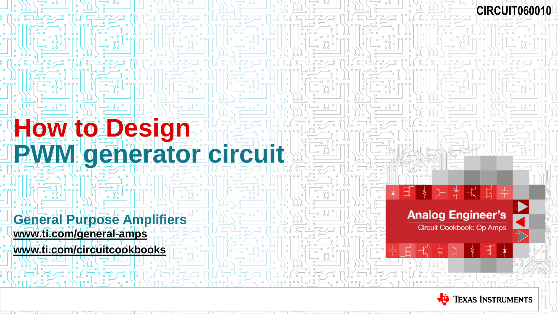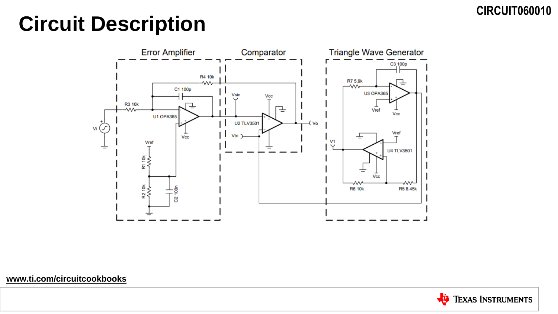## **Circuit Description**



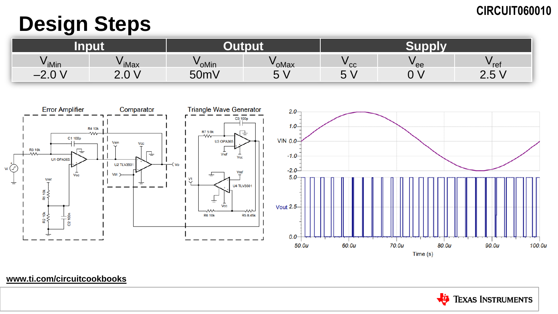## **Design Steps**

| <b>BART</b><br>шриц              |                        |                   | w           |                                         |      |                                |  |
|----------------------------------|------------------------|-------------------|-------------|-----------------------------------------|------|--------------------------------|--|
| $V$ iMin                         | 'iMax                  | v <sub>oMin</sub> | VoMax       | cc                                      | " ee | <b>r</b> ef                    |  |
| $\bigcap$ $\bigcap$<br>⌒<br>-2.U | $\overline{10}$<br>2.V | 50mV              | $\sim$<br>◡ | $\overline{\phantom{0}}$<br>-<br>∽<br>ັ |      | $\mathbf{r}$<br>∽<br><b>4.</b> |  |



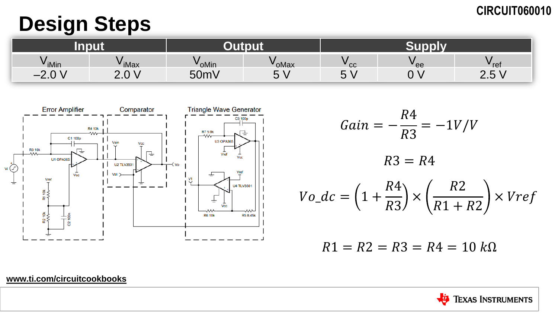## **Design Steps**

| <b>BARL</b><br>ШУУС                                                     |                  |                          | $\sim$            |                  |                   |                            |  |
|-------------------------------------------------------------------------|------------------|--------------------------|-------------------|------------------|-------------------|----------------------------|--|
| V <sub>iMin</sub>                                                       | 'iMax            | <b>v</b> <sub>oMin</sub> | 'oMax             | CC               | "ee               | ′ ref                      |  |
| $\bigcap$ $\bigcap$<br>⌒<br>$\overline{\phantom{a}}$<br>$\sim$ . $\vee$ | $\bigcap$<br>2.V | 50mV                     | $\mathbf{r}$<br>ັ | -<br>-<br>∽<br>ັ | $\sim$ $\sqrt{ }$ | $F \setminus$<br><b>4.</b> |  |



 $Gain = -$ 4 R<sub>3</sub>  $=-1V/V$  $R3 = R4$  $Vo\_dc = | 1 +$ 4  $\left(\frac{1}{R_3}\right)$  × R<sub>2</sub>  $\left(\frac{1}{R_1 + R_2}\right)$  × Vref

 $R1 = R2 = R3 = R4 = 10 k\Omega$ 

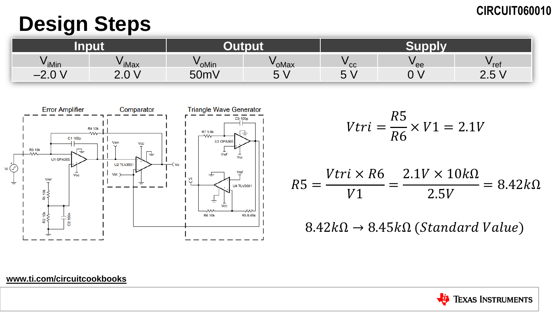## **Design Steps**

| г с                                |               |                   |         |                                    |      |                            |  |
|------------------------------------|---------------|-------------------|---------|------------------------------------|------|----------------------------|--|
| V <sub>iMin</sub>                  | ' iMax        | v <sub>oMin</sub> | 'oMax   | cc                                 | " ee | ′ ref                      |  |
| $\bigcap$<br>C.<br>$\sim$ . $\vee$ | $\cap$<br>2.U | 50mV              | F'<br>ັ | $\overline{\phantom{0}}$<br>∽<br>ັ |      | $ \cdot$<br>∽<br><b>4.</b> |  |



$$
Vtri = \frac{R5}{R6} \times V1 = 2.1V
$$

$$
R5 = \frac{Vtri \times R6}{V1} = \frac{2.1V \times 10k\Omega}{2.5V} = 8.42k\Omega
$$

 $8.42k\Omega \rightarrow 8.45k\Omega$  (Standard Value)

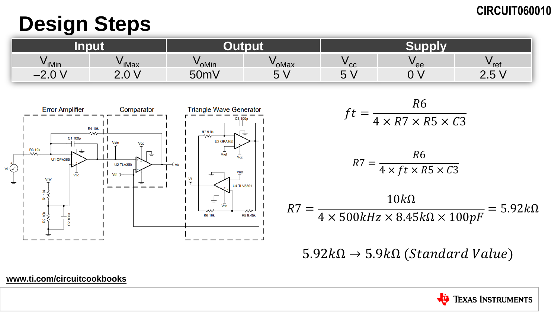## **Design Steps**

| <b>BALL</b>                                                        |                            |                          | 12 L L          |                               |                   |                                   |  |
|--------------------------------------------------------------------|----------------------------|--------------------------|-----------------|-------------------------------|-------------------|-----------------------------------|--|
| V <sub>iMin</sub>                                                  | ' iMax                     | <b>v</b> <sub>oMin</sub> | 'oMax           | $'$ CC                        | v ee              | ′ ref                             |  |
| $\bigcap$ $\bigcap$<br>$\Omega$<br>$\overline{\phantom{0}}$<br>2.U | $\bigcap$ $\bigcup$<br>ـ.ט | 50mV                     | $\sqrt{2}$<br>ັ | $\overline{ }$<br>-<br>∽<br>ັ | $\sim$ $\sqrt{ }$ | F <sub>1</sub><br>$\sim$ . $\cup$ |  |



 $5.92k\Omega \rightarrow 5.9k\Omega$  (Standard Value)



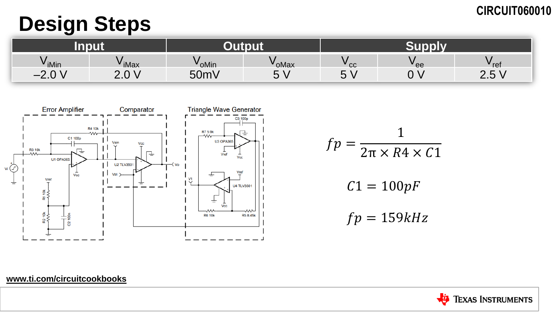## **Design Steps**

| <u>тирчи</u>                         |                                      |               |         |             |      |       |  |
|--------------------------------------|--------------------------------------|---------------|---------|-------------|------|-------|--|
| V iMin                               | $^{\mathsf{v}}$ iMax $_{\mathsf{u}}$ | <b>V</b> oMin | 'oMax   | cc          | " ee | ′ ref |  |
| Λ<br>$\overline{\phantom{0}}$<br>2.U | $\sim$<br>$\sim$ $\sim$              | FOM<br>UUIII  | F'<br>ັ | -<br>∽<br>ັ |      | 2.J   |  |



$$
fp = \frac{1}{2\pi \times R4 \times C1}
$$

$$
C1 = 100pF
$$

$$
fp = 159kHz
$$

#### Jis **TEXAS INSTRUMENTS**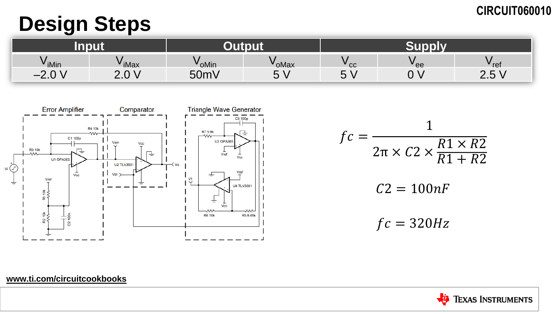## **Design Steps**

| шрас                                         |               |                          | ய                         |                                    |      |          |  |
|----------------------------------------------|---------------|--------------------------|---------------------------|------------------------------------|------|----------|--|
| V <sub>iMin</sub>                            | 'iMax         | <b>v</b> <sub>oMin</sub> | 'oMax                     | cc                                 | " ee | ′ ref    |  |
| $\bigcap$<br><sup>o</sup><br>$\sim$ . $\vee$ | $\cap$<br>2.U | 50mV                     | $ \cdot$<br><b>L</b><br>◡ | $\overline{\phantom{0}}$<br>∽<br>ັ |      | -<br>2.J |  |



$$
fc = \frac{1}{2\pi \times C2 \times \frac{R1 \times R2}{R1 + R2}}
$$

$$
C2 = 100nF
$$

$$
fc = 320Hz
$$

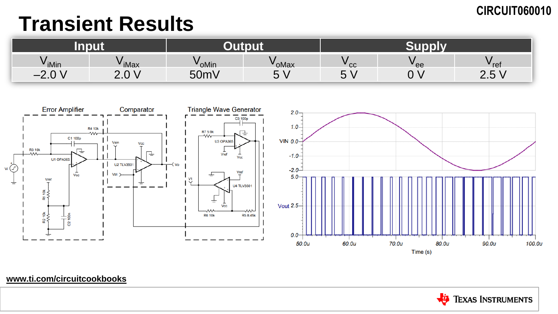## **Transient Results**

| <u>TIMBER 1999.</u>                                              |                   |                   | $\sim$        |                                         |      |                  |  |
|------------------------------------------------------------------|-------------------|-------------------|---------------|-----------------------------------------|------|------------------|--|
| V <sub>iMin</sub>                                                | <sup>v</sup> iMax | V <sub>oMin</sub> | <b>V</b> oMax | ' cc                                    | " ee | $V_{\text{ref}}$ |  |
| $\bigcap$ $\bigcup$<br><sup>o</sup><br>$\sim$<br>$\sim$ . $\cup$ | $\sim$ $\sim$     | 50mV<br>7 I I V   | - 1<br>ັ      | $\overline{\phantom{0}}$<br>-<br>∽<br>ັ |      | 2.J              |  |



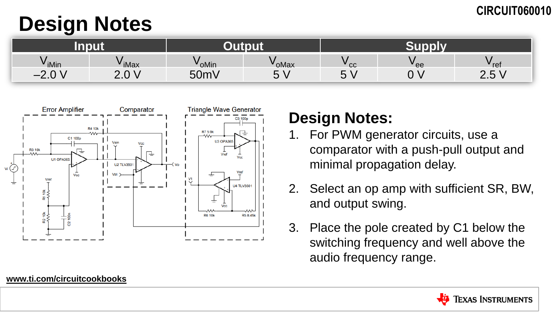## **Design Notes**

| <u> TIMBEL </u>                                              |                            |                   |                       |                          |                   |                   |  |
|--------------------------------------------------------------|----------------------------|-------------------|-----------------------|--------------------------|-------------------|-------------------|--|
| V <sub>iMin</sub>                                            | ViMax                      | v <sub>oMin</sub> | 'oMax                 | $V_{CC}$                 | "ee               | <sup>v</sup> ref∶ |  |
| $\bigcap$ $\bigcup$<br>C.<br>$\overline{\phantom{0}}$<br>2.U | $\bigcap$ $\bigcup$<br>2.U | 50mV              | $\sim$<br>$\sim$<br>ັ | $\blacksquare$<br>h<br>ັ | $\sim$ $\sqrt{ }$ | $-1$<br>⌒<br>2.J  |  |



## **Design Notes:**

- 1. For PWM generator circuits, use a comparator with a push-pull output and minimal propagation delay.
- 2. Select an op amp with sufficient SR, BW, and output swing.
- 3. Place the pole created by C1 below the switching frequency and well above the audio frequency range.

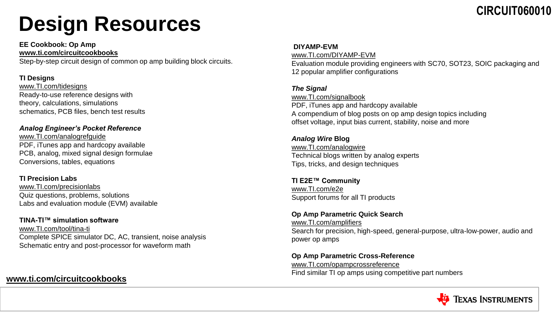# **Design Resources**

**EE Cookbook: Op Amp [www.ti.com/circuitcookbooks](http://www.ti.com/circuitcookbooks)**

Step-by-step circuit design of common op amp building block circuits.

#### **TI Designs**

[www.TI.com/tidesigns](http://www.ti.com/tidesigns) Ready-to-use reference designs with theory, calculations, simulations schematics, PCB files, bench test results

#### *Analog Engineer's Pocket Reference*

[www.TI.com/analogrefguide](http://www.ti.com/analogrefguide) PDF, iTunes app and hardcopy available PCB, analog, mixed signal design formulae Conversions, tables, equations

#### **TI Precision Labs**

[www.TI.com/precisionlabs](http://www.ti.com/precisionlabs) Quiz questions, problems, solutions Labs and evaluation module (EVM) available

#### **TINA-TI™ simulation software**

[www.TI.com/tool/tina-ti](http://www.ti.com/tool/tina-ti) Complete SPICE simulator DC, AC, transient, noise analysis Schematic entry and post-processor for waveform math

#### **[www.ti.com/circuitcookbooks](http://www.ti.com/circuitcookbooks)**

#### **DIYAMP-EVM**

[www.TI.com/DIYAMP-EVM](http://www.ti.com/DIYAMP-EVM) Evaluation module providing engineers with SC70, SOT23, SOIC packaging and 12 popular amplifier configurations

#### *The Signal*

[www.TI.com/signalbook](http://www.ti.com/signalbook) PDF, iTunes app and hardcopy available A compendium of blog posts on op amp design topics including offset voltage, input bias current, stability, noise and more

#### *Analog Wire* **Blog** [www.TI.com/analogwire](http://www.ti.com/analogwire)

Technical blogs written by analog experts Tips, tricks, and design techniques

#### **TI E2E™ Community** [www.TI.com/e2e](http://www.ti.com/e2e) Support forums for all TI products

#### **Op Amp Parametric Quick Search**

[www.TI.com/amplifiers](http://www.ti.com/amplifiers) Search for precision, high-speed, general-purpose, ultra-low-power, audio and power op amps

#### **Op Amp Parametric Cross-Reference** [www.TI.com/opampcrossreference](http://www.ti.com/opampcrossreference) Find similar TI op amps using competitive part numbers